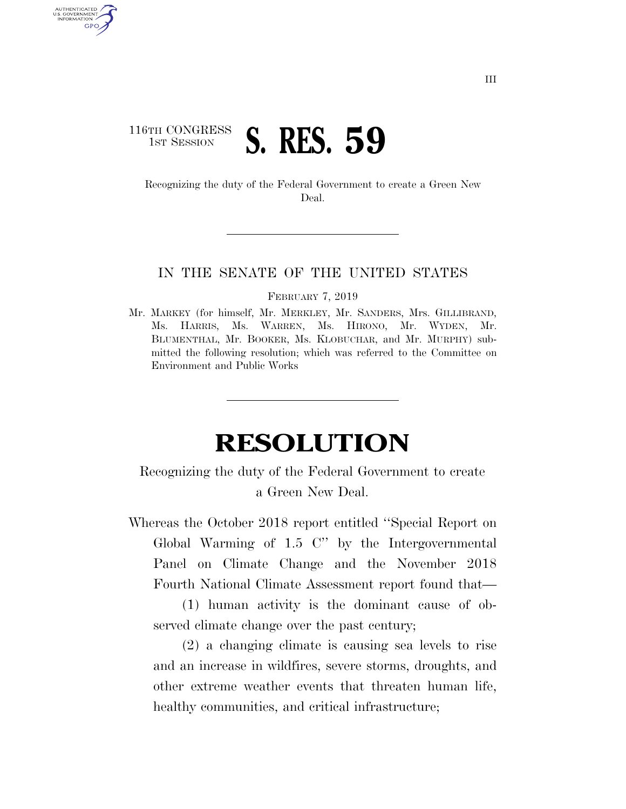## 116TH CONGRESS **1ST SESSION S. RES. 59**

U.S. GOVERNMENT **GPO** 

> Recognizing the duty of the Federal Government to create a Green New Deal.

## IN THE SENATE OF THE UNITED STATES

FEBRUARY 7, 2019

Mr. MARKEY (for himself, Mr. MERKLEY, Mr. SANDERS, Mrs. GILLIBRAND, Ms. HARRIS, Ms. WARREN, Ms. HIRONO, Mr. WYDEN, Mr. BLUMENTHAL, Mr. BOOKER, Ms. KLOBUCHAR, and Mr. MURPHY) submitted the following resolution; which was referred to the Committee on Environment and Public Works

## **RESOLUTION**

## Recognizing the duty of the Federal Government to create a Green New Deal.

Whereas the October 2018 report entitled ''Special Report on Global Warming of 1.5 C'' by the Intergovernmental Panel on Climate Change and the November 2018 Fourth National Climate Assessment report found that—

(1) human activity is the dominant cause of observed climate change over the past century;

(2) a changing climate is causing sea levels to rise and an increase in wildfires, severe storms, droughts, and other extreme weather events that threaten human life, healthy communities, and critical infrastructure;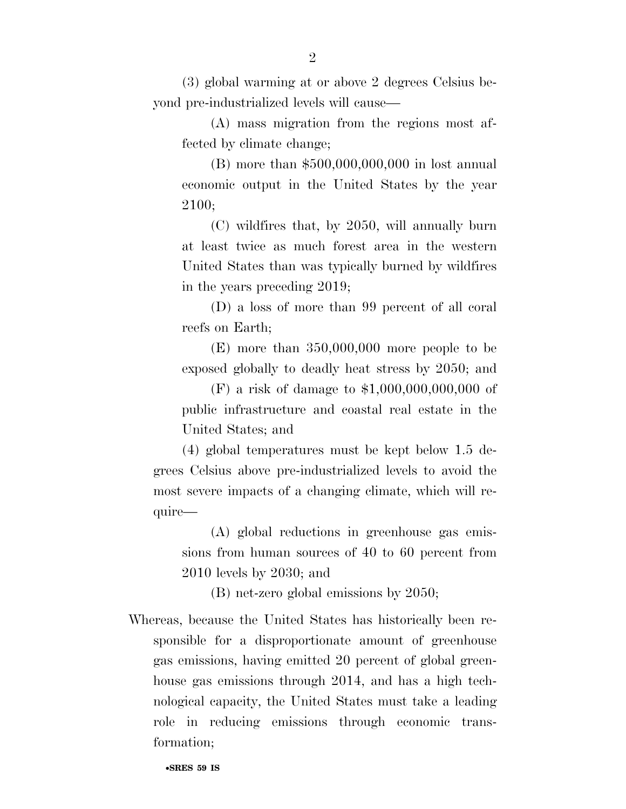(3) global warming at or above 2 degrees Celsius beyond pre-industrialized levels will cause—

(A) mass migration from the regions most affected by climate change;

(B) more than \$500,000,000,000 in lost annual economic output in the United States by the year 2100;

(C) wildfires that, by 2050, will annually burn at least twice as much forest area in the western United States than was typically burned by wildfires in the years preceding 2019;

(D) a loss of more than 99 percent of all coral reefs on Earth;

(E) more than 350,000,000 more people to be exposed globally to deadly heat stress by 2050; and

(F) a risk of damage to \$1,000,000,000,000 of public infrastructure and coastal real estate in the United States; and

(4) global temperatures must be kept below 1.5 degrees Celsius above pre-industrialized levels to avoid the most severe impacts of a changing climate, which will require—

(A) global reductions in greenhouse gas emissions from human sources of 40 to 60 percent from 2010 levels by 2030; and

(B) net-zero global emissions by 2050;

Whereas, because the United States has historically been responsible for a disproportionate amount of greenhouse gas emissions, having emitted 20 percent of global greenhouse gas emissions through 2014, and has a high technological capacity, the United States must take a leading role in reducing emissions through economic transformation;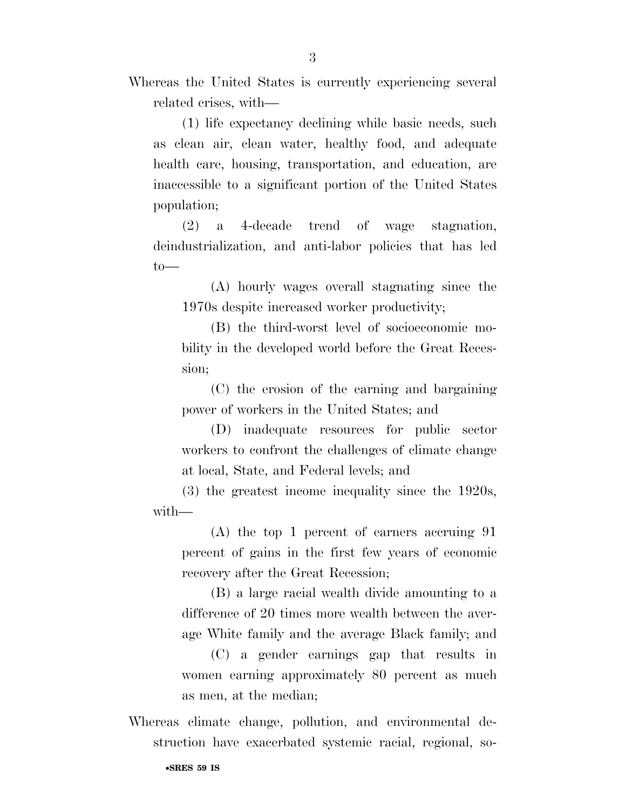Whereas the United States is currently experiencing several related crises, with—

(1) life expectancy declining while basic needs, such as clean air, clean water, healthy food, and adequate health care, housing, transportation, and education, are inaccessible to a significant portion of the United States population;

(2) a 4-decade trend of wage stagnation, deindustrialization, and anti-labor policies that has led  $to$ —

(A) hourly wages overall stagnating since the 1970s despite increased worker productivity;

(B) the third-worst level of socioeconomic mobility in the developed world before the Great Recession;

(C) the erosion of the earning and bargaining power of workers in the United States; and

(D) inadequate resources for public sector workers to confront the challenges of climate change at local, State, and Federal levels; and

(3) the greatest income inequality since the 1920s, with—

(A) the top 1 percent of earners accruing 91 percent of gains in the first few years of economic recovery after the Great Recession;

(B) a large racial wealth divide amounting to a difference of 20 times more wealth between the average White family and the average Black family; and

(C) a gender earnings gap that results in women earning approximately 80 percent as much as men, at the median;

Whereas climate change, pollution, and environmental destruction have exacerbated systemic racial, regional, so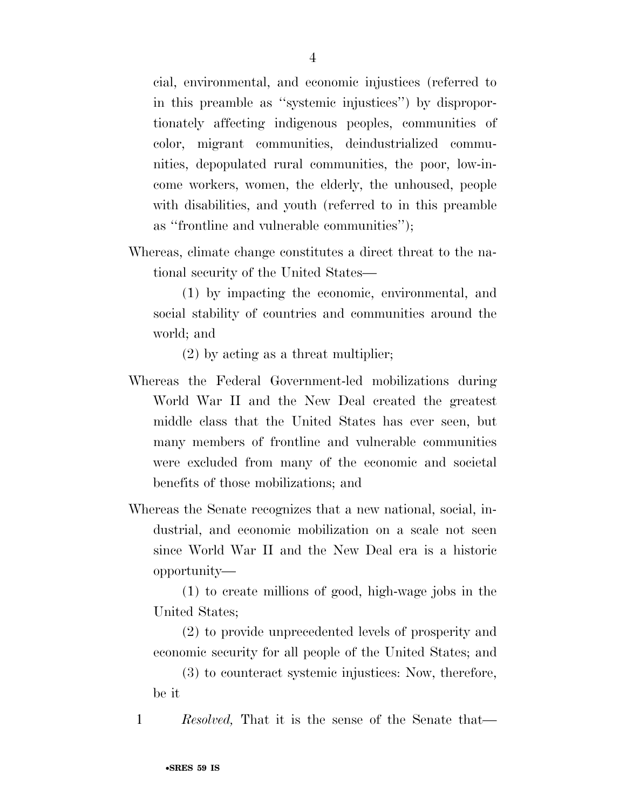cial, environmental, and economic injustices (referred to in this preamble as ''systemic injustices'') by disproportionately affecting indigenous peoples, communities of color, migrant communities, deindustrialized communities, depopulated rural communities, the poor, low-income workers, women, the elderly, the unhoused, people with disabilities, and youth (referred to in this preamble as ''frontline and vulnerable communities'');

Whereas, climate change constitutes a direct threat to the national security of the United States—

(1) by impacting the economic, environmental, and social stability of countries and communities around the world; and

(2) by acting as a threat multiplier;

- Whereas the Federal Government-led mobilizations during World War II and the New Deal created the greatest middle class that the United States has ever seen, but many members of frontline and vulnerable communities were excluded from many of the economic and societal benefits of those mobilizations; and
- Whereas the Senate recognizes that a new national, social, industrial, and economic mobilization on a scale not seen since World War II and the New Deal era is a historic opportunity—

(1) to create millions of good, high-wage jobs in the United States;

(2) to provide unprecedented levels of prosperity and economic security for all people of the United States; and

(3) to counteract systemic injustices: Now, therefore, be it

1 *Resolved,* That it is the sense of the Senate that—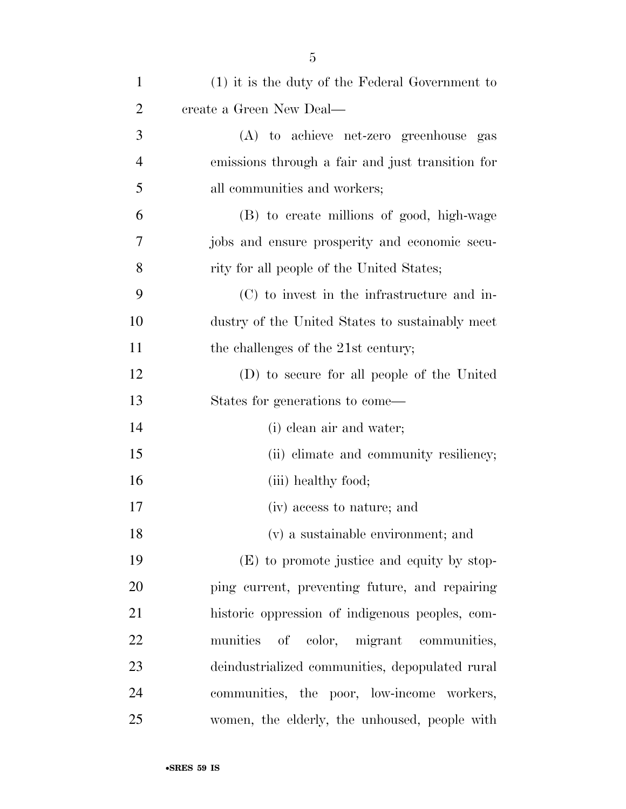| $\mathbf{1}$   | $(1)$ it is the duty of the Federal Government to |
|----------------|---------------------------------------------------|
| $\overline{2}$ | create a Green New Deal—                          |
| 3              | (A) to achieve net-zero greenhouse gas            |
| 4              | emissions through a fair and just transition for  |
| 5              | all communities and workers;                      |
| 6              | (B) to create millions of good, high-wage         |
| 7              | jobs and ensure prosperity and economic secu-     |
| 8              | rity for all people of the United States;         |
| 9              | (C) to invest in the infrastructure and in-       |
| 10             | dustry of the United States to sustainably meet   |
| 11             | the challenges of the 21st century;               |
| 12             | (D) to secure for all people of the United        |
| 13             | States for generations to come—                   |
| 14             | (i) clean air and water;                          |
| 15             | (ii) climate and community resiliency;            |
| 16             | (iii) healthy food;                               |
| 17             | (iv) access to nature; and                        |
| 18             | (v) a sustainable environment; and                |
| 19             | (E) to promote justice and equity by stop-        |
| 20             | ping current, preventing future, and repairing    |
| 21             | historic oppression of indigenous peoples, com-   |
| 22             | munities<br>of color, migrant communities,        |
| 23             | deindustrialized communities, depopulated rural   |
| 24             | communities, the poor, low-income workers,        |
| 25             | women, the elderly, the unhoused, people with     |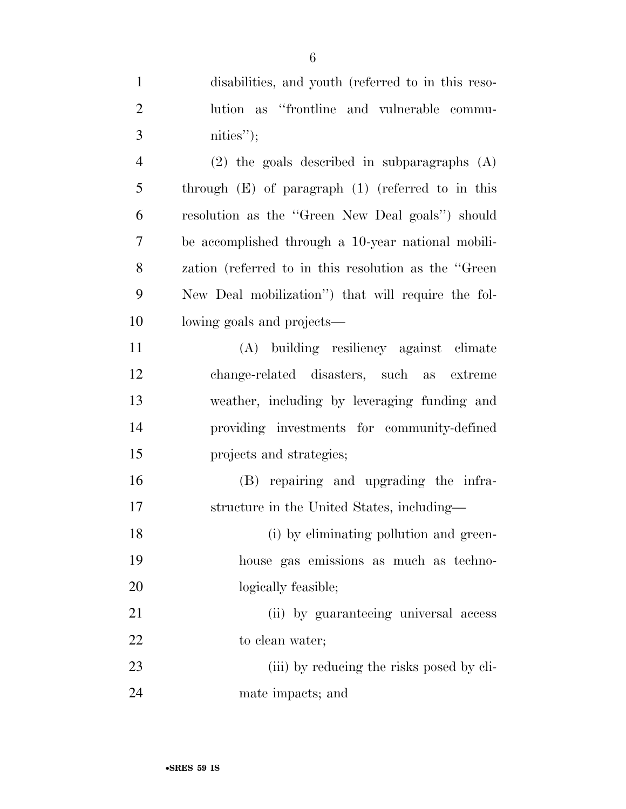disabilities, and youth (referred to in this reso- lution as ''frontline and vulnerable commu- nities''); (2) the goals described in subparagraphs (A) through (E) of paragraph (1) (referred to in this resolution as the ''Green New Deal goals'') should be accomplished through a 10-year national mobili- zation (referred to in this resolution as the ''Green New Deal mobilization'') that will require the fol- lowing goals and projects— (A) building resiliency against climate change-related disasters, such as extreme weather, including by leveraging funding and providing investments for community-defined

 (B) repairing and upgrading the infra-structure in the United States, including—

projects and strategies;

 (i) by eliminating pollution and green- house gas emissions as much as techno-20 logically feasible;

 (ii) by guaranteeing universal access 22 to clean water;

23 (iii) by reducing the risks posed by cli-mate impacts; and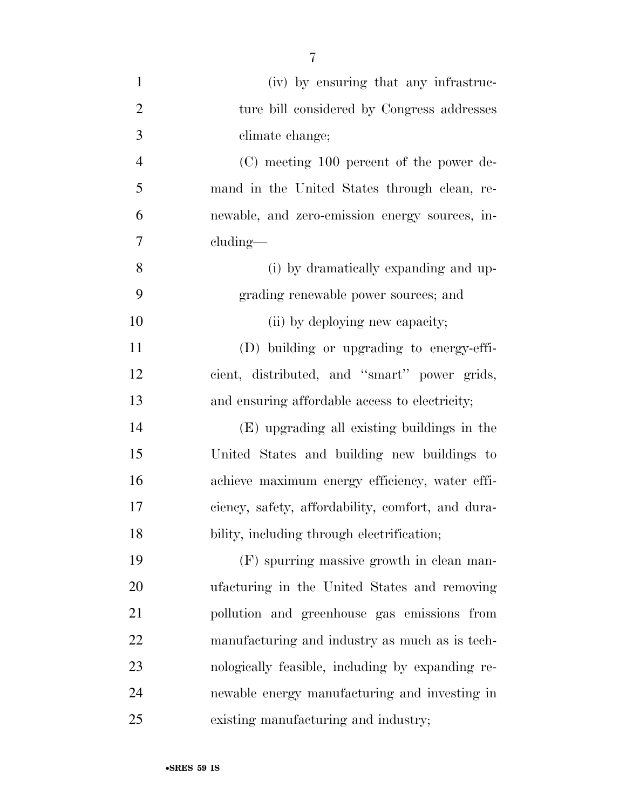| $\mathbf{1}$   | (iv) by ensuring that any infrastruc-             |
|----------------|---------------------------------------------------|
| $\overline{2}$ | ture bill considered by Congress addresses        |
| 3              | climate change;                                   |
| $\overline{4}$ | (C) meeting 100 percent of the power de-          |
| 5              | mand in the United States through clean, re-      |
| 6              | newable, and zero-emission energy sources, in-    |
| 7              | cluding—                                          |
| 8              | (i) by dramatically expanding and up-             |
| 9              | grading renewable power sources; and              |
| 10             | (ii) by deploying new capacity;                   |
| 11             | (D) building or upgrading to energy-effi-         |
| 12             | cient, distributed, and "smart" power grids,      |
| 13             | and ensuring affordable access to electricity;    |
| 14             | (E) upgrading all existing buildings in the       |
| 15             | United States and building new buildings to       |
| 16             | achieve maximum energy efficiency, water effi-    |
| 17             | ciency, safety, affordability, comfort, and dura- |
| 18             | bility, including through electrification;        |
| 19             | (F) spurring massive growth in clean man-         |
| 20             | ufacturing in the United States and removing      |
| 21             | pollution and greenhouse gas emissions from       |
| 22             | manufacturing and industry as much as is tech-    |
| 23             | nologically feasible, including by expanding re-  |
| 24             | newable energy manufacturing and investing in     |
| 25             | existing manufacturing and industry;              |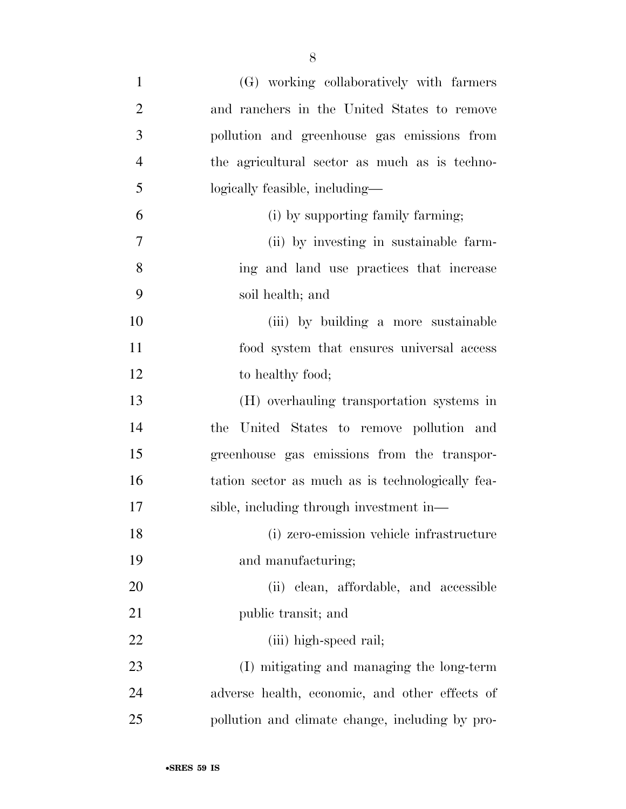| $\mathbf{1}$   | (G) working collaboratively with farmers         |
|----------------|--------------------------------------------------|
| $\overline{2}$ | and ranchers in the United States to remove      |
| 3              | pollution and greenhouse gas emissions from      |
| $\overline{4}$ | the agricultural sector as much as is techno-    |
| 5              | logically feasible, including—                   |
| 6              | (i) by supporting family farming;                |
| 7              | (ii) by investing in sustainable farm-           |
| 8              | ing and land use practices that increase         |
| 9              | soil health; and                                 |
| 10             | (iii) by building a more sustainable             |
| 11             | food system that ensures universal access        |
| 12             | to healthy food;                                 |
| 13             | (H) overhauling transportation systems in        |
| 14             | the United States to remove pollution and        |
| 15             | greenhouse gas emissions from the transpor-      |
| 16             | tation sector as much as is technologically fea- |
| 17             | sible, including through investment in—          |
| 18             | (i) zero-emission vehicle infrastructure         |
| 19             | and manufacturing;                               |
| 20             | (ii) clean, affordable, and accessible           |
| 21             | public transit; and                              |
| 22             | (iii) high-speed rail;                           |
| 23             | (I) mitigating and managing the long-term        |
| 24             | adverse health, economic, and other effects of   |
| 25             | pollution and climate change, including by pro-  |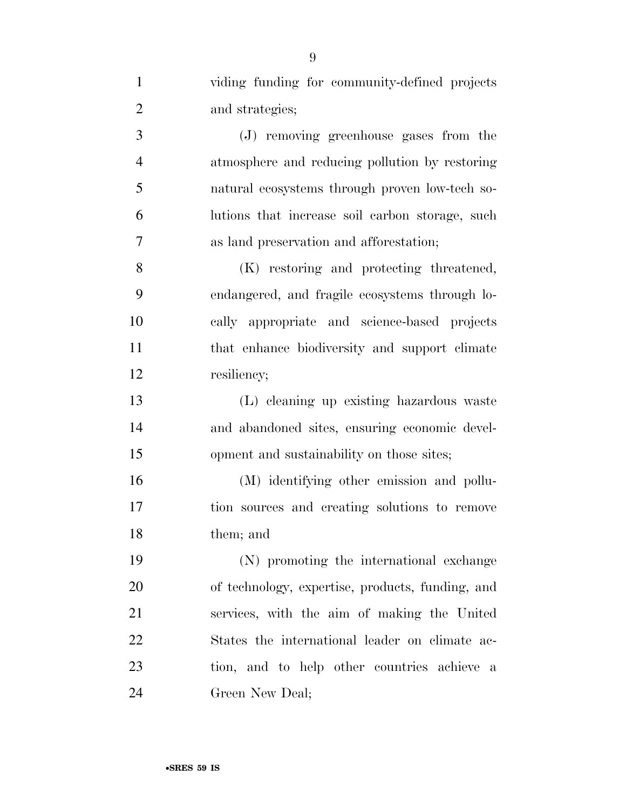| $\mathbf{1}$   | viding funding for community-defined projects    |
|----------------|--------------------------------------------------|
| $\overline{2}$ | and strategies;                                  |
| 3              | (J) removing greenhouse gases from the           |
| $\overline{4}$ | atmosphere and reducing pollution by restoring   |
| 5              | natural ecosystems through proven low-tech so-   |
| 6              | lutions that increase soil carbon storage, such  |
| 7              | as land preservation and afforestation;          |
| 8              | (K) restoring and protecting threatened,         |
| 9              | endangered, and fragile ecosystems through lo-   |
| 10             | cally appropriate and science-based projects     |
| 11             | that enhance biodiversity and support climate    |
| 12             | resiliency;                                      |
| 13             | (L) cleaning up existing hazardous waste         |
| 14             | and abandoned sites, ensuring economic devel-    |
| 15             | opment and sustainability on those sites;        |
| 16             | (M) identifying other emission and pollu-        |
| 17             | tion sources and creating solutions to remove    |
| 18             | them; and                                        |
| 19             | (N) promoting the international exchange         |
| 20             | of technology, expertise, products, funding, and |
| 21             | services, with the aim of making the United      |
| 22             | States the international leader on climate ac-   |
| 23             | tion, and to help other countries achieve a      |
| 24             | Green New Deal;                                  |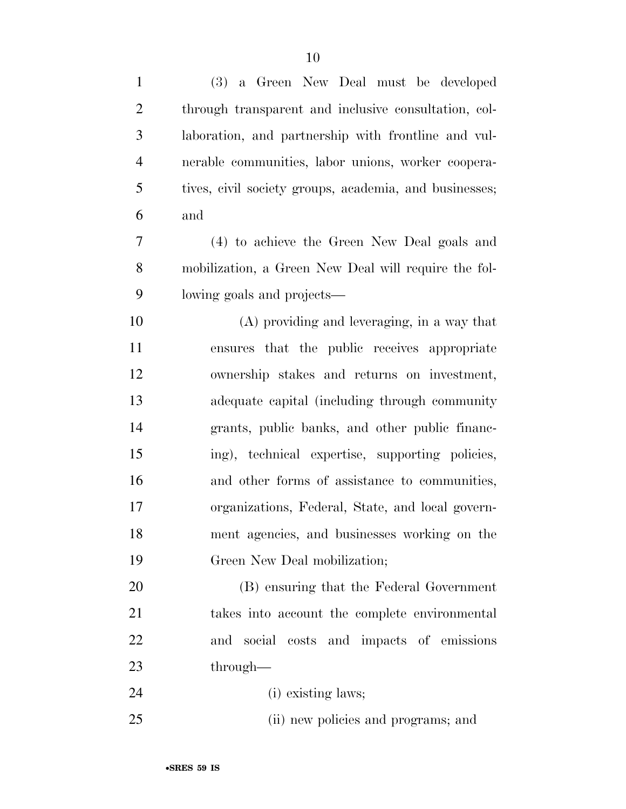| $\mathbf{1}$   | (3) a Green New Deal must be developed                 |
|----------------|--------------------------------------------------------|
| $\overline{2}$ | through transparent and inclusive consultation, col-   |
| 3              | laboration, and partnership with frontline and vul-    |
| $\overline{4}$ | nerable communities, labor unions, worker coopera-     |
| 5              | tives, civil society groups, academia, and businesses; |
| 6              | and                                                    |
| 7              | (4) to achieve the Green New Deal goals and            |
| 8              | mobilization, a Green New Deal will require the fol-   |
| 9              | lowing goals and projects—                             |
| 10             | $(A)$ providing and leveraging, in a way that          |
| 11             | ensures that the public receives appropriate           |
| 12             | ownership stakes and returns on investment,            |
| 13             | adequate capital (including through community          |
| 14             | grants, public banks, and other public financ-         |
| 15             | ing), technical expertise, supporting policies,        |
| 16             | and other forms of assistance to communities,          |
| 17             | organizations, Federal, State, and local govern-       |
| 18             | ment agencies, and businesses working on the           |
| 19             | Green New Deal mobilization;                           |
| 20             | (B) ensuring that the Federal Government               |
| 21             | takes into account the complete environmental          |
| 22             | and social costs and impacts of emissions              |
| 23             | through—                                               |
| 24             | (i) existing laws;                                     |
| 25             | (ii) new policies and programs; and                    |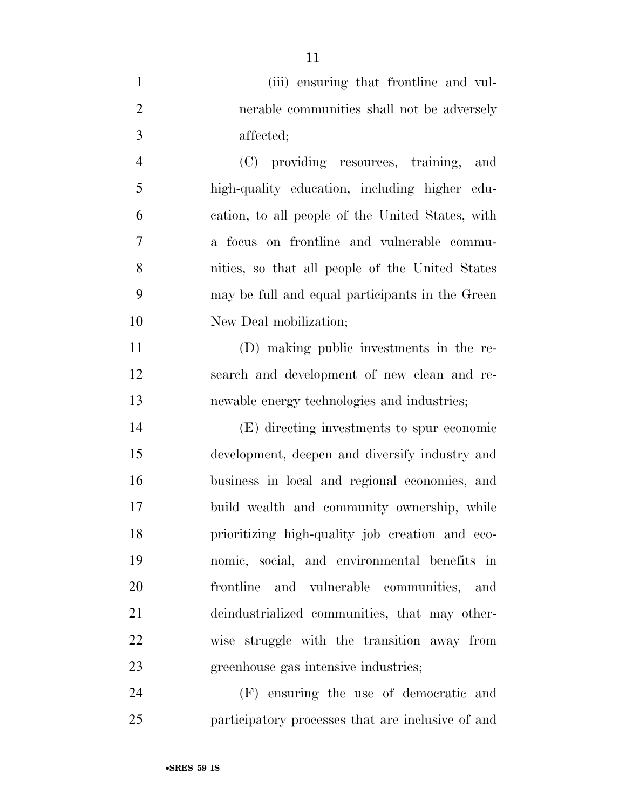|                | (iii) ensuring that frontline and vul-           |
|----------------|--------------------------------------------------|
| 2              | nerable communities shall not be adversely       |
| -3             | affected;                                        |
| $\overline{4}$ | (C) providing resources, training,<br>and        |
| -5             | high-quality education, including higher edu-    |
| 6              | cation, to all people of the United States, with |

 a focus on frontline and vulnerable commu- nities, so that all people of the United States may be full and equal participants in the Green New Deal mobilization;

 (D) making public investments in the re- search and development of new clean and re-newable energy technologies and industries;

 (E) directing investments to spur economic development, deepen and diversify industry and business in local and regional economies, and build wealth and community ownership, while prioritizing high-quality job creation and eco- nomic, social, and environmental benefits in frontline and vulnerable communities, and deindustrialized communities, that may other- wise struggle with the transition away from greenhouse gas intensive industries;

 (F) ensuring the use of democratic and participatory processes that are inclusive of and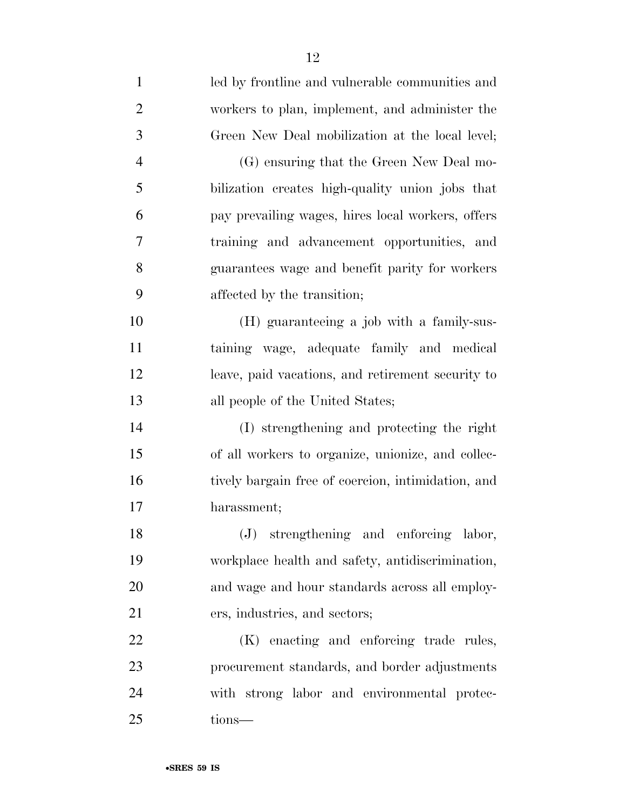| $\mathbf{1}$   | led by frontline and vulnerable communities and    |
|----------------|----------------------------------------------------|
| $\overline{2}$ | workers to plan, implement, and administer the     |
| 3              | Green New Deal mobilization at the local level;    |
| $\overline{4}$ | (G) ensuring that the Green New Deal mo-           |
| 5              | bilization creates high-quality union jobs that    |
| 6              | pay prevailing wages, hires local workers, offers  |
| 7              | training and advancement opportunities, and        |
| 8              | guarantees wage and benefit parity for workers     |
| 9              | affected by the transition;                        |
| 10             | (H) guaranteeing a job with a family-sus-          |
| 11             | taining wage, adequate family and medical          |
| 12             | leave, paid vacations, and retirement security to  |
| 13             | all people of the United States;                   |
| 14             | (I) strengthening and protecting the right         |
| 15             | of all workers to organize, unionize, and collec-  |
| 16             | tively bargain free of coercion, intimidation, and |
| 17             | harassment;                                        |
| 18             | (J) strengthening and enforcing labor,             |
| 19             | workplace health and safety, antidiscrimination,   |
| 20             | and wage and hour standards across all employ-     |
| 21             | ers, industries, and sectors;                      |
| 22             | (K) enacting and enforcing trade rules,            |
| 23             | procurement standards, and border adjustments      |
| 24             | with strong labor and environmental protec-        |
| 25             | tions-                                             |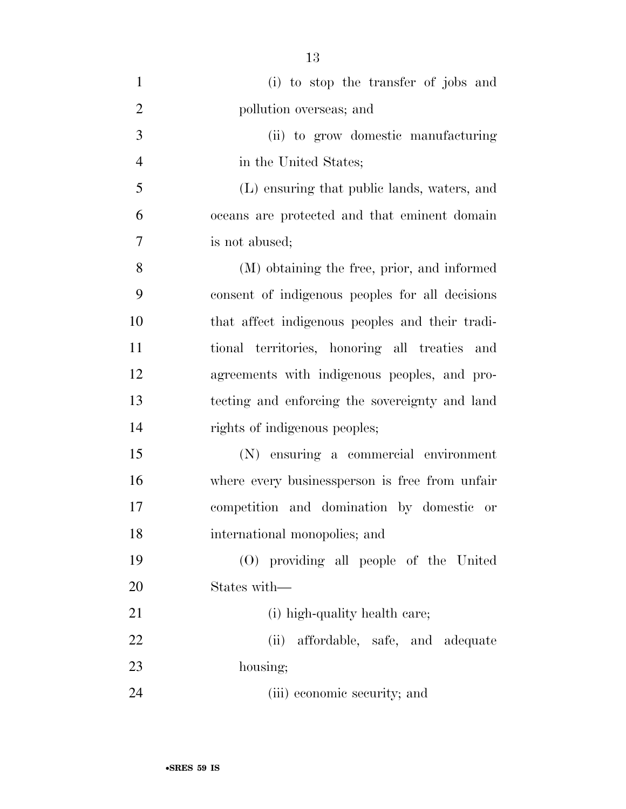| $\mathbf{1}$   | (i) to stop the transfer of jobs and            |
|----------------|-------------------------------------------------|
| $\overline{2}$ | pollution overseas; and                         |
| 3              | (ii) to grow domestic manufacturing             |
| $\overline{4}$ | in the United States;                           |
| 5              | (L) ensuring that public lands, waters, and     |
| 6              | oceans are protected and that eminent domain    |
| 7              | is not abused;                                  |
| 8              | (M) obtaining the free, prior, and informed     |
| 9              | consent of indigenous peoples for all decisions |
| 10             | that affect indigenous peoples and their tradi- |
| 11             | tional territories, honoring all treaties and   |
| 12             | agreements with indigenous peoples, and pro-    |
| 13             | tecting and enforcing the sovereignty and land  |
| 14             | rights of indigenous peoples;                   |
| 15             | (N) ensuring a commercial environment           |
| 16             | where every businessperson is free from unfair  |
| 17             | competition and domination by domestic or       |
| 18             | international monopolies; and                   |
| 19             | (O) providing all people of the United          |
| 20             | States with—                                    |
| 21             | (i) high-quality health care;                   |
| 22             | affordable, safe, and adequate<br>(ii)          |
| 23             | housing;                                        |
| 24             | (iii) economic security; and                    |